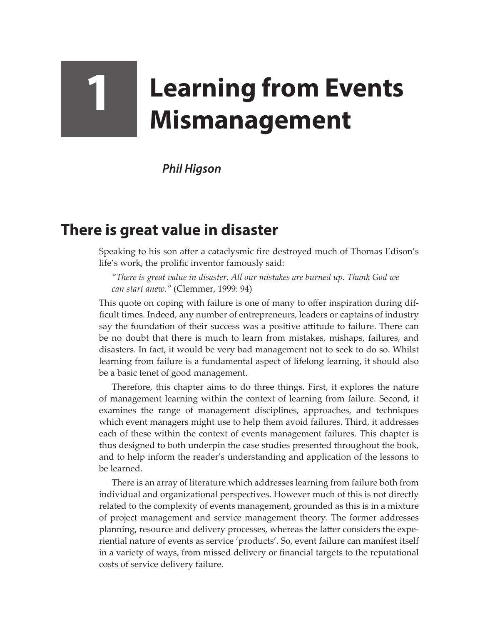## **1 Learning from Events Mismanagement**

*Phil Higson*

## **There is great value in disaster**

Speaking to his son after a cataclysmic fire destroyed much of Thomas Edison's life's work, the prolific inventor famously said:

*"There is great value in disaster. All our mistakes are burned up. Thank God we can start anew."* (Clemmer, 1999: 94)

This quote on coping with failure is one of many to offer inspiration during difficult times. Indeed, any number of entrepreneurs, leaders or captains of industry say the foundation of their success was a positive attitude to failure. There can be no doubt that there is much to learn from mistakes, mishaps, failures, and disasters. In fact, it would be very bad management not to seek to do so. Whilst learning from failure is a fundamental aspect of lifelong learning, it should also be a basic tenet of good management.

Therefore, this chapter aims to do three things. First, it explores the nature of management learning within the context of learning from failure. Second, it examines the range of management disciplines, approaches, and techniques which event managers might use to help them avoid failures. Third, it addresses each of these within the context of events management failures. This chapter is thus designed to both underpin the case studies presented throughout the book, and to help inform the reader's understanding and application of the lessons to be learned.

There is an array of literature which addresses learning from failure both from individual and organizational perspectives. However much of this is not directly related to the complexity of events management, grounded as this is in a mixture of project management and service management theory. The former addresses planning, resource and delivery processes, whereas the latter considers the experiential nature of events as service 'products'. So, event failure can manifest itself in a variety of ways, from missed delivery or financial targets to the reputational costs of service delivery failure.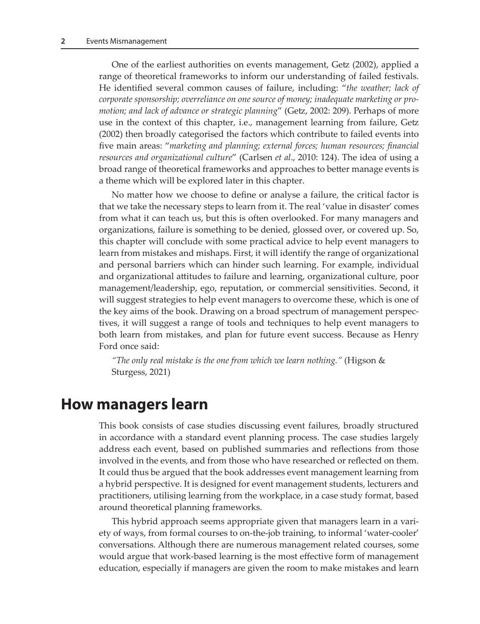One of the earliest authorities on events management, Getz (2002), applied a range of theoretical frameworks to inform our understanding of failed festivals. He identified several common causes of failure, including: "*the weather; lack of corporate sponsorship; overreliance on one source of money; inadequate marketing or promotion; and lack of advance or strategic planning*" (Getz, 2002: 209). Perhaps of more use in the context of this chapter, i.e., management learning from failure, Getz (2002) then broadly categorised the factors which contribute to failed events into five main areas: "*marketing and planning; external forces; human resources; financial resources and organizational culture*" (Carlsen *et al*., 2010: 124). The idea of using a broad range of theoretical frameworks and approaches to better manage events is a theme which will be explored later in this chapter.

No matter how we choose to define or analyse a failure, the critical factor is that we take the necessary steps to learn from it. The real 'value in disaster' comes from what it can teach us, but this is often overlooked. For many managers and organizations, failure is something to be denied, glossed over, or covered up. So, this chapter will conclude with some practical advice to help event managers to learn from mistakes and mishaps. First, it will identify the range of organizational and personal barriers which can hinder such learning. For example, individual and organizational attitudes to failure and learning, organizational culture, poor management/leadership, ego, reputation, or commercial sensitivities. Second, it will suggest strategies to help event managers to overcome these, which is one of the key aims of the book. Drawing on a broad spectrum of management perspectives, it will suggest a range of tools and techniques to help event managers to both learn from mistakes, and plan for future event success. Because as Henry Ford once said:

*"The only real mistake is the one from which we learn nothing."* (Higson & Sturgess, 2021)

## **How managers learn**

This book consists of case studies discussing event failures, broadly structured in accordance with a standard event planning process. The case studies largely address each event, based on published summaries and reflections from those involved in the events, and from those who have researched or reflected on them. It could thus be argued that the book addresses event management learning from a hybrid perspective. It is designed for event management students, lecturers and practitioners, utilising learning from the workplace, in a case study format, based around theoretical planning frameworks.

This hybrid approach seems appropriate given that managers learn in a variety of ways, from formal courses to on-the-job training, to informal 'water-cooler' conversations. Although there are numerous management related courses, some would argue that work-based learning is the most effective form of management education, especially if managers are given the room to make mistakes and learn